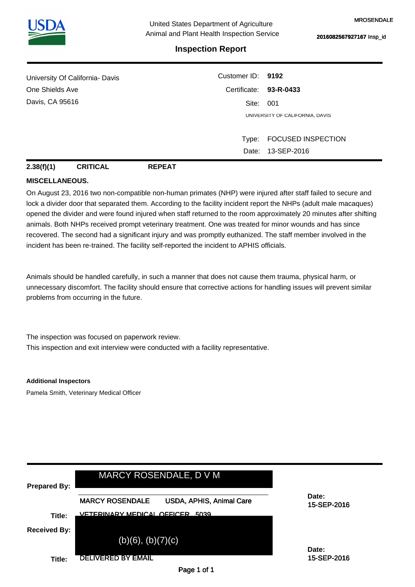

## **Inspection Report**

| University Of California- Davis | Customer ID: 9192 |                                 |  |  |
|---------------------------------|-------------------|---------------------------------|--|--|
| One Shields Ave                 |                   | Certificate: 93-R-0433          |  |  |
| Davis, CA 95616                 | Site: 001         |                                 |  |  |
|                                 |                   | UNIVERSITY OF CALIFORNIA, DAVIS |  |  |
|                                 |                   |                                 |  |  |
|                                 | Type:             | <b>FOCUSED INSPECTION</b>       |  |  |
|                                 | Date:             | 13-SEP-2016                     |  |  |

**2.38(f)(1) CRITICAL REPEAT**

## **MISCELLANEOUS.**

On August 23, 2016 two non-compatible non-human primates (NHP) were injured after staff failed to secure and lock a divider door that separated them. According to the facility incident report the NHPs (adult male macaques) opened the divider and were found injured when staff returned to the room approximately 20 minutes after shifting animals. Both NHPs received prompt veterinary treatment. One was treated for minor wounds and has since recovered. The second had a significant injury and was promptly euthanized. The staff member involved in the incident has been re-trained. The facility self-reported the incident to APHIS officials.

Animals should be handled carefully, in such a manner that does not cause them trauma, physical harm, or unnecessary discomfort. The facility should ensure that corrective actions for handling issues will prevent similar problems from occurring in the future.

The inspection was focused on paperwork review. This inspection and exit interview were conducted with a facility representative.

**Additional Inspectors** Pamela Smith, Veterinary Medical Officer

| <b>Prepared By:</b>           | MARCY ROSENDALE, D V M                                                                |                      |
|-------------------------------|---------------------------------------------------------------------------------------|----------------------|
|                               | <b>MARCY ROSENDALE</b><br>USDA, APHIS, Animal Care<br>VETERINARY MEDICAL OFFICER 5039 | Date:<br>15-SEP-2016 |
| Title:<br><b>Received By:</b> |                                                                                       |                      |
|                               | $(b)(6)$ , $(b)(7)(c)$                                                                | Date:                |
| Title:                        | <b>DELIVERED BY EMAIL</b>                                                             | 15-SEP-2016          |